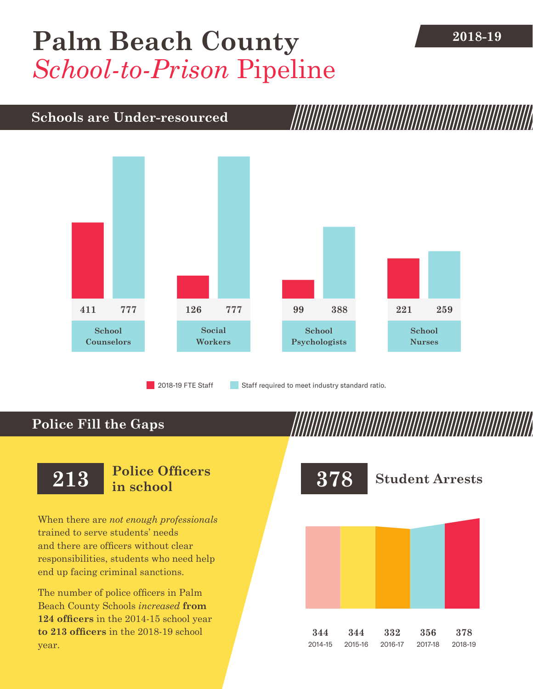## [Palm Beach County](DBF_County) **2018-19** *School-to-Prison* Pipeline

## **Schools are Under-resourced**



2018-19 FTE Staff **Staff required to meet industry standard ratio.** 

## **Police Fill the Gaps**

When there are *not enough professionals* trained to serve students' needs and there are officers without clear responsibilities, students who need help end up facing criminal sanctions.

The number of police officers in [Palm](DBF_County)  [Beach County](DBF_County) Schools *increased* **from [124](DBF_PO1415) officers** in the 2014-15 school year **to [213](DBF_PO) officers** in the 2018-19 school year.